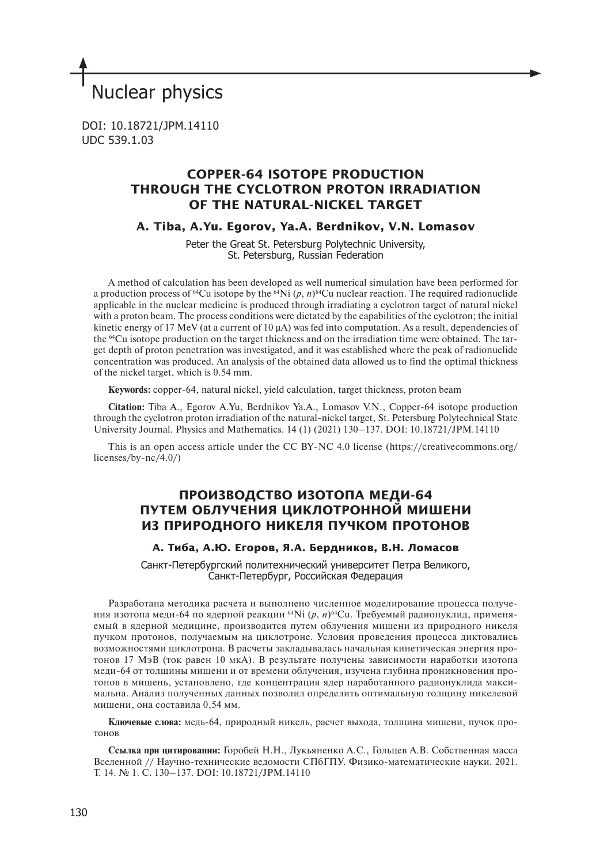# Nuclear physics

DOI: 10.18721/JPM.14110 UDC 539.1.03

# **СOPPER-64 ISOTOPE PRODUCTION THROUGH THE CYCLOTRON PROTON IRRADIATION OF THE NATURAL-NICKEL TARGET**

**A. Tiba, A.Yu. Egorov, Ya.A. Berdnikov, V.N. Lomasov**

Peter the Great St. Petersburg Polytechnic University, St. Petersburg, Russian Federation

A method of calculation has been developed as well numerical simulation have been performed for a production process of <sup>64</sup>Cu isotope by the <sup>64</sup>Ni  $(p, n)$ <sup>64</sup>Cu nuclear reaction. The required radionuclide applicable in the nuclear medicine is produced through irradiating a cyclotron target of natural nickel with a proton beam. The process conditions were dictated by the capabilities of the cyclotron; the initial kinetic energy of 17 MeV (at a current of 10  $\mu$ A) was fed into computation. As a result, dependencies of the 64Cu isotope production on the target thickness and on the irradiation time were obtained. The target depth of proton penetration was investigated, and it was established where the peak of radionuclide concentration was produced. An analysis of the obtained data allowed us to find the optimal thickness of the nickel target, which is 0.54 mm.

**Keywords:** copper-64, natural nickel, yield calculation, target thickness, proton beam

**Citation:** Tiba A., Egorov A.Yu, Berdnikov Ya.A., Lomasov V.N., Сopper-64 isotope production through the cyclotron proton irradiation of the natural-nickel target, St. Petersburg Polytechnical State University Journal. Physics and Mathematics. 14 (1) (2021) 130–137. DOI: 10.18721/JPM.14110

This is an open access article under the CC BY-NC 4.0 license (https://creativecommons.org/ licenses/by-nc/4.0/)

# **ПРОИЗВОДСТВО ИЗОТОПА МЕДИ-64 ПУТЕМ ОБЛУЧЕНИЯ ЦИКЛОТРОННОЙ МИШЕНИ ИЗ ПРИРОДНОГО НИКЕЛЯ ПУЧКОМ ПРОТОНОВ**

# **А. Тиба, А.Ю. Егоров, Я.А. Бердников, В.Н. Ломасов**

Санкт-Петербургский политехнический университет Петра Великого, Санкт-Петербург, Российская Федерация

Разработана методика расчета и выполнено численное моделирование процесса получения изотопа меди-64 по ядерной реакции 64Ni (*p*, *n*)64Cu. Требуемый радионуклид, применяемый в ядерной медицине, производится путем облучения мишени из природного никеля пучком протонов, получаемым на циклотроне. Условия проведения процесса диктовались возможностями циклотрона. В расчеты закладывалась начальная кинетическая энергия протонов 17 МэВ (ток равен 10 мкА). В результате получены зависимости наработки изотопа меди-64 от толщины мишени и от времени облучения, изучена глубина проникновения протонов в мишень, установлено, где концентрация ядер наработанного радионуклида максимальна. Анализ полученных данных позволил определить оптимальную толщину никелевой мишени, она составила 0,54 мм.

**Ключевые слова:** медь-64, природный никель, расчет выхода, толщина мишени, пучок протонов

**Ссылка при цитировании:** Горобей Н.Н., Лукьяненко А.С., Гольцев А.В. Собственная масса Вселенной // Научно-технические ведомости СПбГПУ. Физико-математические науки. 2021. Т. 14. № 1. С. 130–137. DOI: 10.18721/JPM.14110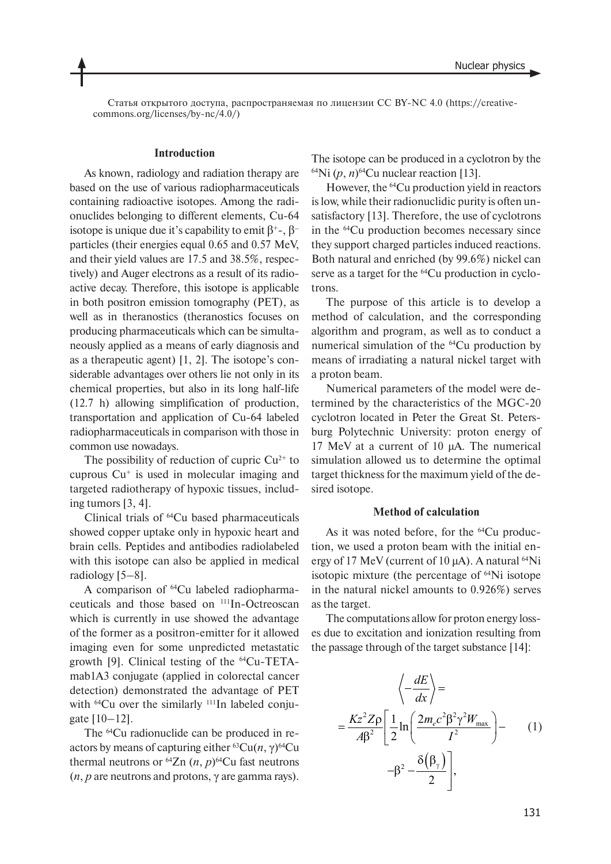Статья открытого доступа, распространяемая по лицензии CC BY-NC 4.0 (https://creativecommons.org/licenses/by-nc/4.0/)

# **Introduction**

As known, radiology and radiation therapy are based on the use of various radiopharmaceuticals containing radioactive isotopes. Among the radionuclides belonging to different elements, Cu-64 isotope is unique due it's capability to emit  $β^{\dagger}$ -,  $β$ <sup>-</sup> particles (their energies equal 0.65 and 0.57 MeV, and their yield values are 17.5 and 38.5%, respectively) and Auger electrons as a result of its radioactive decay. Therefore, this isotope is applicable in both positron emission tomography (PET), as well as in theranostics (theranostics focuses on producing pharmaceuticals which can be simultaneously applied as a means of early diagnosis and as a therapeutic agent) [1, 2]. The isotope's considerable advantages over others lie not only in its chemical properties, but also in its long half-life (12.7 h) allowing simplification of production, transportation and application of Cu-64 labeled radiopharmaceuticals in comparison with those in common use nowadays.

The possibility of reduction of cupric  $Cu^{2+}$  to cuprous  $Cu<sup>+</sup>$  is used in molecular imaging and targeted radiotherapy of hypoxic tissues, including tumors [3, 4].

Clinical trials of 64Cu based pharmaceuticals showed copper uptake only in hypoxic heart and brain cells. Peptides and antibodies radiolabeled with this isotope can also be applied in medical radiology [5–8].

A comparison of 64Cu labeled radiopharmaceuticals and those based on 111In-Octreoscan which is currently in use showed the advantage of the former as a positron-emitter for it allowed imaging even for some unpredicted metastatic growth [9]. Clinical testing of the 64Cu-TETAmab<sub>1</sub>A<sub>3</sub> conjugate (applied in colorectal cancer detection) demonstrated the advantage of PET with <sup>64</sup>Cu over the similarly <sup>111</sup>In labeled conju $gate [10-12]$ .

The 64Cu radionuclide can be produced in reactors by means of capturing either  ${}^{63}Cu(n, \gamma) {}^{64}Cu$ thermal neutrons or  $^{64}Zn$  (*n*, *p*)<sup>64</sup>Cu fast neutrons (*n*, *p* are neutrons and protons, γ are gamma rays).

The isotope can be produced in a cyclotron by the  $^{64}$ Ni  $(p, n)$ <sup>64</sup>Cu nuclear reaction [13].

However, the 64Cu production yield in reactors is low, while their radionuclidic purity is often unsatisfactory [13]. Therefore, the use of cyclotrons in the 64Cu production becomes necessary since they support charged particles induced reactions. Both natural and enriched (by 99.6%) nickel can serve as a target for the <sup>64</sup>Cu production in cyclotrons.

The purpose of this article is to develop a method of calculation, and the corresponding algorithm and program, as well as to conduct a numerical simulation of the <sup>64</sup>Cu production by means of irradiating a natural nickel target with a proton beam.

Numerical parameters of the model were determined by the characteristics of the MGC-20 cyclotron located in Peter the Great St. Petersburg Polytechnic University: proton energy of 17 MeV at a current of 10 µA. The numerical simulation allowed us to determine the optimal target thickness for the maximum yield of the desired isotope.

#### **Method of calculation**

As it was noted before, for the <sup>64</sup>Cu production, we used a proton beam with the initial energy of 17 MeV (current of 10  $\mu$ A). A natural <sup>64</sup>Ni isotopic mixture (the percentage of 64Ni isotope in the natural nickel amounts to 0.926%) serves as the target.

The computations allow for proton energy losses due to excitation and ionization resulting from the passage through of the target substance [14]:

$$
\left\langle -\frac{dE}{dx} \right\rangle =
$$
  
=  $\frac{Kz^2 Z \rho}{A\beta^2} \left[ \frac{1}{2} \ln \left( \frac{2m_e c^2 \beta^2 \gamma^2 W_{\text{max}}}{I^2} \right) - \left( \frac{1}{2} \right) \right]$   
- $\beta^2 - \frac{\delta(\beta_\gamma)}{2} \left[ \frac{1}{2} \right],$  (1)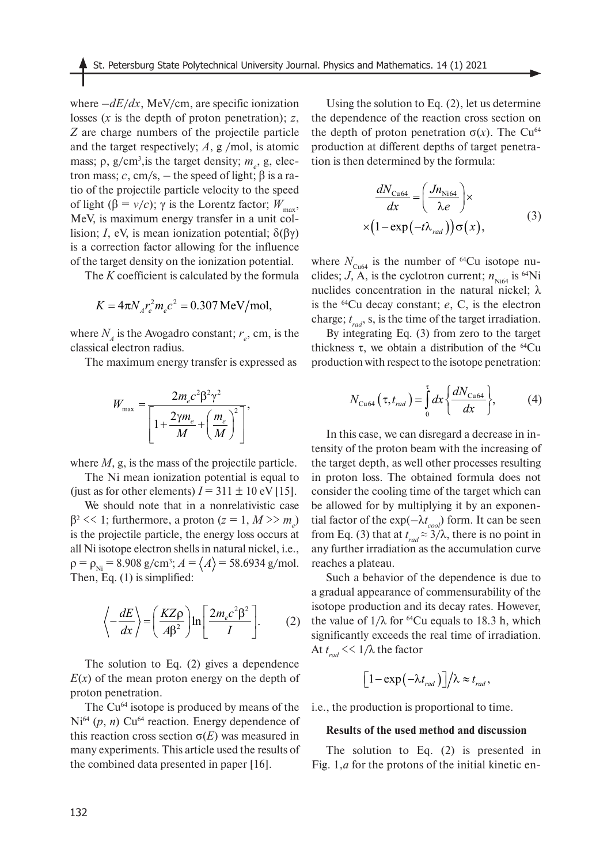where  $-dE/dx$ , MeV/cm, are specific ionization losses (*x* is the depth of proton penetration); *z*, *Z* are charge numbers of the projectile particle and the target respectively; *A*, g /mol, is atomic mass;  $\rho$ ,  $g/cm^3$ , is the target density;  $m_e$ , g, electron mass; *c*, cm/s, – the speed of light; β is a ratio of the projectile particle velocity to the speed of light (β = *v*/*c*); γ is the Lorentz factor;  $W_{\text{max}}$ , MeV, is maximum energy transfer in a unit collision; *I*, eV, is mean ionization potential;  $\delta$ (βγ) is a correction factor allowing for the influence of the target density on the ionization potential.

The *K* coefficient is calculated by the formula

$$
K = 4\pi N_A r_e^2 m_e c^2 = 0.307 \,\text{MeV/mol},
$$

where  $N_A$  is the Avogadro constant;  $r_e$ , cm, is the classical electron radius.

The maximum energy transfer is expressed as

$$
W_{\text{max}} = \frac{2m_e c^2 \beta^2 \gamma^2}{\left[1 + \frac{2\gamma m_e}{M} + \left(\frac{m_e}{M}\right)^2\right]},
$$

where *M*, g, is the mass of the projectile particle.

The Ni mean ionization potential is equal to (just as for other elements)  $I = 311 \pm 10$  eV [15].

We should note that in a nonrelativistic case  $β<sup>2</sup> << 1$ ; furthermore, a proton ( $z = 1, M >> m<sub>e</sub>$ ) is the projectile particle, the energy loss occurs at all Ni isotope electron shells in natural nickel, i.e.,  $\rho = \rho_{Ni} = 8.908 \text{ g/cm}^3$ ;  $A = \langle A \rangle = 58.6934 \text{ g/mol}$ . Then, Eq. (1) is simplified:

$$
\left\langle -\frac{dE}{dx} \right\rangle = \left( \frac{KZ\rho}{A\beta^2} \right) \ln \left[ \frac{2m_e c^2 \beta^2}{I} \right].
$$
 (2)

The solution to Eq. (2) gives a dependence  $E(x)$  of the mean proton energy on the depth of proton penetration.

The Cu<sup>64</sup> isotope is produced by means of the  $Ni<sup>64</sup>$  (*p*, *n*) Cu<sup>64</sup> reaction. Energy dependence of this reaction cross section σ(*E*) was measured in many experiments. This article used the results of the combined data presented in paper [16].

Using the solution to Eq. (2), let us determine the dependence of the reaction cross section on the depth of proton penetration  $\sigma(x)$ . The Cu<sup>64</sup> production at different depths of target penetration is then determined by the formula:

$$
\frac{dN_{\text{Cu64}}}{dx} = \left(\frac{Jn_{\text{Ni64}}}{\lambda e}\right) \times \left(1 - \exp\left(-t\lambda_{\text{rad}}\right)\right) \sigma(x),\tag{3}
$$

where  $N_{\text{Cu64}}$  is the number of <sup>64</sup>Cu isotope nuclides;  $J$ , A, is the cyclotron current;  $n_{Nif4}$  is <sup>64</sup>Ni nuclides concentration in the natural nickel; λ is the 64Cu decay constant; *e*, C, is the electron charge; *t rad*, s, is the time of the target irradiation.

By integrating Eq. (3) from zero to the target thickness τ, we obtain a distribution of the  $^{64}$ Cu production with respect to the isotope penetration:

$$
N_{\text{Cu64}}\left(\tau,t_{\text{rad}}\right) = \int_{0}^{\tau} dx \left\{\frac{dN_{\text{Cu64}}}{dx}\right\},\tag{4}
$$

In this case, we can disregard a decrease in intensity of the proton beam with the increasing of the target depth, as well other processes resulting in proton loss. The obtained formula does not consider the cooling time of the target which can be allowed for by multiplying it by an exponential factor of the exp(–λ*t cool*) form. It can be seen from Eq. (3) that at  $t_{rad} \approx 3/\lambda$ , there is no point in any further irradiation as the accumulation curve reaches a plateau.

Such a behavior of the dependence is due to a gradual appearance of commensurability of the isotope production and its decay rates. However, the value of  $1/\lambda$  for <sup>64</sup>Cu equals to 18.3 h, which significantly exceeds the real time of irradiation. At *t rad* << 1/λ the factor

$$
\left[1-\exp\left(-\lambda t_{\text{rad}}\right)\right]/\lambda \approx t_{\text{rad}},
$$

i.e., the production is proportional to time.

#### **Results of the used method and discussion**

The solution to Eq. (2) is presented in Fig. 1,*a* for the protons of the initial kinetic en-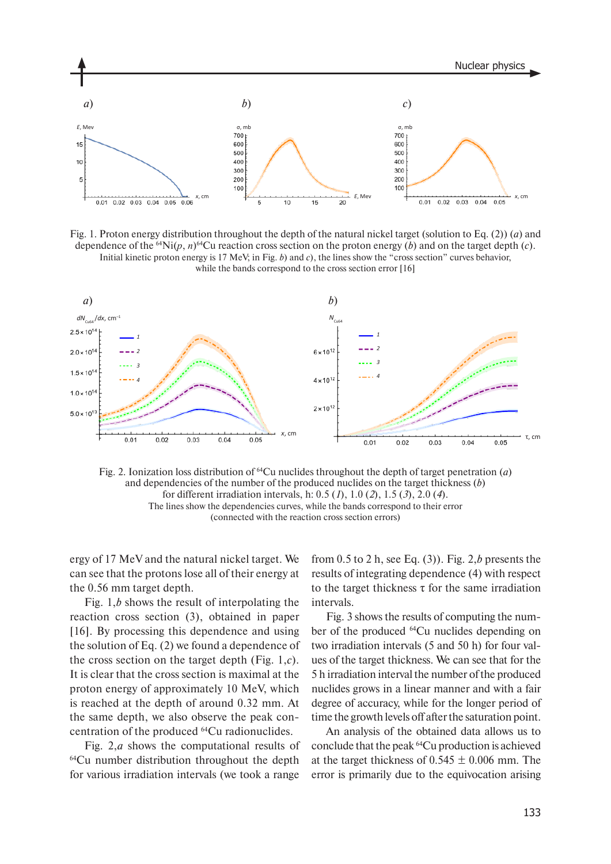

Fig. 1. Proton energy distribution throughout the depth of the natural nickel target (solution to Eq. (2)) (*a*) and dependence of the <sup>64</sup>Ni( $p, n$ )<sup>64</sup>Cu reaction cross section on the proton energy (*b*) and on the target depth (*c*). Initial kinetic proton energy is 17 MeV; in Fig. *b*) and *с*), the lines show the "cross section" curves behavior, while the bands correspond to the cross section error [16]



Fig. 2. Ionization loss distribution of 64Cu nuclides throughout the depth of target penetration (*a*) and dependencies of the number of the produced nuclides on the target thickness (*b*) for different irradiation intervals, h: 0.5 (*1*), 1.0 (*2*), 1.5 (*3*), 2.0 (*4*). The lines show the dependencies curves, while the bands correspond to their error (connected with the reaction cross section errors)

ergy of 17 MeV and the natural nickel target. We can see that the protons lose all of their energy at the 0.56 mm target depth.

Fig. 1,*b* shows the result of interpolating the reaction cross section (3), obtained in paper [16]. By processing this dependence and using the solution of Eq. (2) we found a dependence of the cross section on the target depth (Fig. 1,*с*). It is clear that the cross section is maximal at the proton energy of approximately 10 MeV, which is reached at the depth of around 0.32 mm. At the same depth, we also observe the peak concentration of the produced 64Cu radionuclides.

Fig. 2,*a* shows the computational results of 64Cu number distribution throughout the depth for various irradiation intervals (we took a range

from 0.5 to 2 h, see Eq. (3)). Fig. 2,*b* presents the results of integrating dependence (4) with respect to the target thickness  $\tau$  for the same irradiation intervals.

Fig. 3 shows the results of computing the number of the produced 64Cu nuclides depending on two irradiation intervals (5 and 50 h) for four values of the target thickness. We can see that for the 5 h irradiation interval the number of the produced nuclides grows in a linear manner and with a fair degree of accuracy, while for the longer period of time the growth levels off after the saturation point.

An analysis of the obtained data allows us to conclude that the peak 64Сu production is achieved at the target thickness of  $0.545 \pm 0.006$  mm. The error is primarily due to the equivocation arising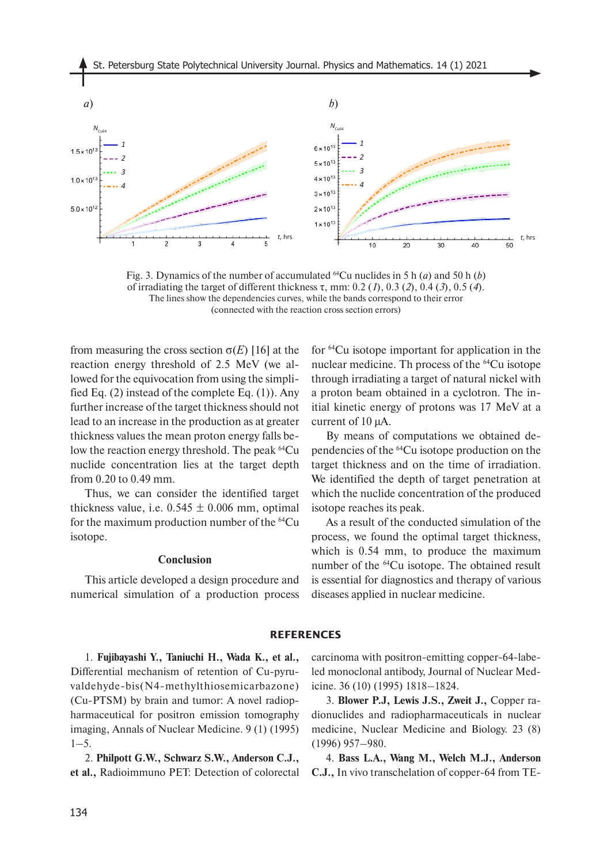

Fig. 3. Dynamics of the number of accumulated <sup>64</sup>Cu nuclides in 5 h (*a*) and 50 h (*b*) of irradiating the target of different thickness τ, mm: 0.2 (*1*), 0.3 (*2*), 0.4 (*3*), 0.5 (*4*). The lines show the dependencies curves, while the bands correspond to their error (connected with the reaction cross section errors)

from measuring the cross section  $\sigma(E)$  [16] at the reaction energy threshold of 2.5 MeV (we allowed for the equivocation from using the simplified Eq. (2) instead of the complete Eq. (1)). Any further increase of the target thickness should not lead to an increase in the production as at greater thickness values the mean proton energy falls below the reaction energy threshold. The peak <sup>64</sup>Cu nuclide concentration lies at the target depth from 0.20 to 0.49 mm.

Thus, we can consider the identified target thickness value, i.e.  $0.545 \pm 0.006$  mm, optimal for the maximum production number of the 64Cu isotope.

## **Conclusion**

This article developed a design procedure and numerical simulation of a production process for 64Cu isotope important for application in the nuclear medicine. Th process of the 64Cu isotope through irradiating a target of natural nickel with a proton beam obtained in a cyclotron. The initial kinetic energy of protons was 17 MeV at a current of 10 µA.

By means of computations we obtained dependencies of the 64Cu isotope production on the target thickness and on the time of irradiation. We identified the depth of target penetration at which the nuclide concentration of the produced isotope reaches its peak.

As a result of the conducted simulation of the process, we found the optimal target thickness, which is 0.54 mm, to produce the maximum number of the 64Cu isotope. The obtained result is essential for diagnostics and therapy of various diseases applied in nuclear medicine.

## **REFERENCES**

1. **Fujibayashi Y., Taniuchi H., Wada K., et al.,**  Differential mechanism of retention of Cu-pyruvaldehyde-bis(N4-methylthiosemicarbazone) (Cu-PTSM) by brain and tumor: A novel radiopharmaceutical for positron emission tomography imaging, Annals of Nuclear Medicine. 9 (1) (1995)  $1 - 5$ .

2. **Philpott G.W., Schwarz S.W., Anderson C.J., et al.,** Radioimmuno PET: Detection of colorectal carcinoma with positron-emitting copper-64-labeled monoclonal antibody, Journal of Nuclear Medicine. 36 (10) (1995) 1818–1824.

3. **Blower P.J, Lewis J.S., Zweit J.,** Copper radionuclides and radiopharmaceuticals in nuclear medicine, Nuclear Medicine and Biology. 23 (8) (1996) 957–980.

4. **Bass L.A., Wang M., Welch M.J., Anderson C.J.,** In vivo transchelation of copper-64 from TE-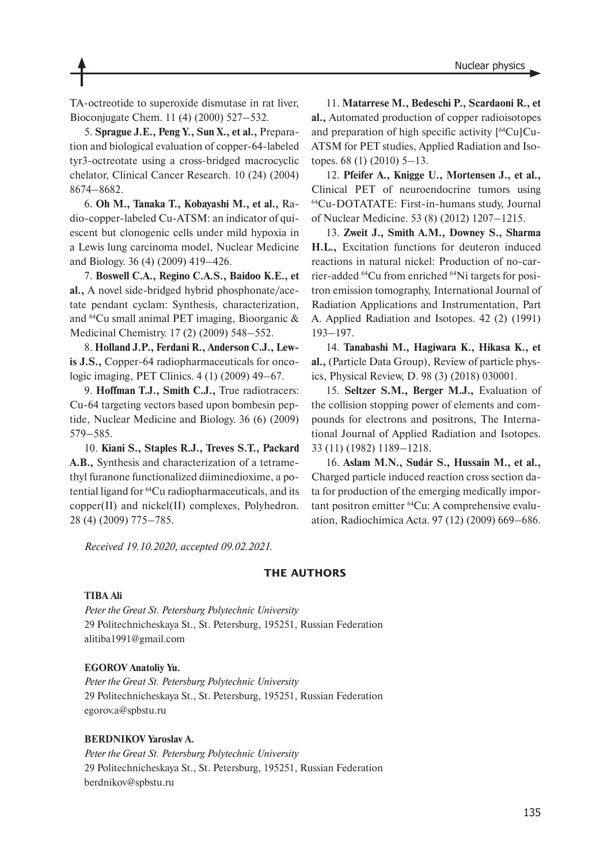TA-octreotide to superoxide dismutase in rat liver, Bioconjugate Chem. 11 (4) (2000) 527–532.

5. **Sprague J.E., Peng Y., Sun X., et al.,** Preparation and biological evaluation of copper-64-labeled tyr3-octreotate using a cross-bridged macrocyclic chelator, Clinical Cancer Research. 10 (24) (2004) 8674–8682.

6. **Oh M., Tanaka T., Kobayashi M., et al.,** Radio-copper-labeled Cu-ATSM: an indicator of quiescent but clonogenic cells under mild hypoxia in a Lewis lung carcinoma model, Nuclear Medicine and Biology. 36 (4) (2009) 419–426.

7. **Boswell C.A., Regino C.A.S., Baidoo K.E., et al.,** A novel side-bridged hybrid phosphonate/acetate pendant cyclam: Synthesis, characterization, and 64Cu small animal PET imaging, Bioorganic & Medicinal Chemistry. 17 (2) (2009) 548–552.

8. **Holland J.P., Ferdani R., Anderson C.J., Lewis J.S.,** Copper-64 radiopharmaceuticals for oncologic imaging, PET Clinics. 4 (1) (2009) 49–67.

9. **Hoffman T.J., Smith C.J.,** True radiotracers: Cu-64 targeting vectors based upon bombesin peptide, Nuclear Medicine and Biology. 36 (6) (2009) 579–585.

10. **Kiani S., Staples R.J., Treves S.T., Packard A.B.,** Synthesis and characterization of a tetramethyl furanone functionalized diiminedioxime, a potential ligand for 64Cu radiopharmaceuticals, and its copper(II) and nickel(II) complexes, Polyhedron. 28 (4) (2009) 775–785.

11. **Matarrese M., Bedeschi P., Scardaoni R., et al.,** Automated production of copper radioisotopes and preparation of high specific activity [64Cu]Cu-ATSM for PET studies, Applied Radiation and Isotopes. 68 (1) (2010) 5–13.

12. **Pfeifer A., Knigge U., Mortensen J., et al.,**  Clinical PET of neuroendocrine tumors using 64Cu-DOTATATE: First-in-humans study, Journal of Nuclear Medicine. 53 (8) (2012) 1207–1215.

13. **Zweit J., Smith A.M., Downey S., Sharma H.L.,** Excitation functions for deuteron induced reactions in natural nickel: Production of no-carrier-added 64Cu from enriched 64Ni targets for positron emission tomography, International Journal of Radiation Applications and Instrumentation, Part A. Applied Radiation and Isotopes. 42 (2) (1991) 193–197.

14. **Tanabashi M., Hagiwara K., Hikasa K., et al.,** (Particle Data Group), Review of particle physics, Physical Review, D. 98 (3) (2018) 030001.

15. **Seltzer S.M., Berger M.J.,** Evaluation of the collision stopping power of elements and compounds for electrons and positrons, The International Journal of Applied Radiation and Isotopes. 33 (11) (1982) 1189–1218.

16. **Aslam M.N., Sudár S., Hussain M., et al.,**  Charged particle induced reaction cross section data for production of the emerging medically important positron emitter <sup>64</sup>Cu: A comprehensive evaluation, Radiochimica Acta. 97 (12) (2009) 669–686.

*Received 19.10.2020, accepted 09.02.2021.*

# **THE AUTHORS**

### **TIBA Ali**

*Peter the Great St. Petersburg Polytechnic University* 29 Politechnicheskaya St., St. Petersburg, 195251, Russian Federation alitiba1991@gmail.com

#### **EGOROV Anatoliy Yu.**

*Peter the Great St. Petersburg Polytechnic University* 29 Politechnicheskaya St., St. Petersburg, 195251, Russian Federation egorov.a@spbstu.ru

#### **BERDNIKOV Yaroslav A.**

*Peter the Great St. Petersburg Polytechnic University* 29 Politechnicheskaya St., St. Petersburg, 195251, Russian Federation berdnikov@spbstu.ru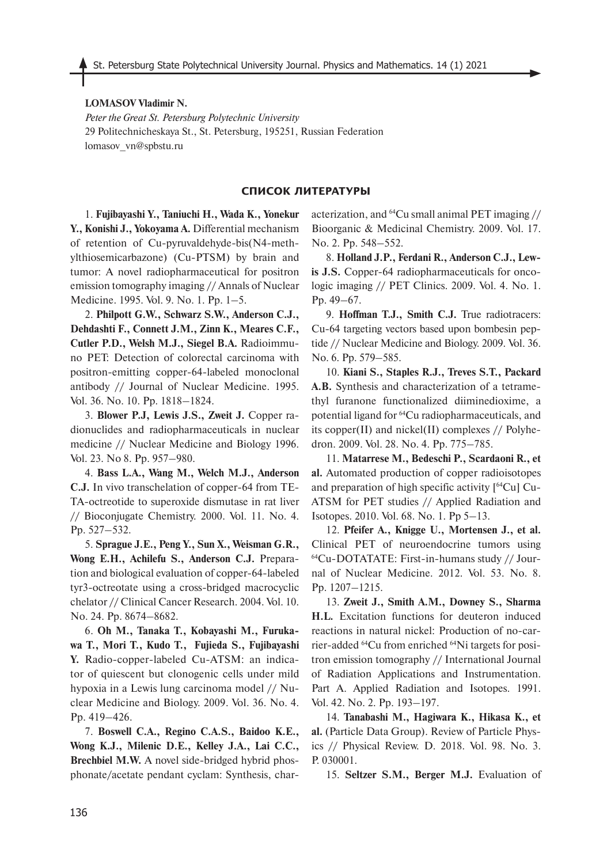#### **LOMASOV Vladimir N.**

*Peter the Great St. Petersburg Polytechnic University* 29 Politechnicheskaya St., St. Petersburg, 195251, Russian Federation lomasov\_vn@spbstu.ru

#### **СПИСОК ЛИТЕРАТУРЫ**

1. **Fujibayashi Y., Taniuchi H., Wada K., Yonekur Y., Konishi J., Yokoyama A.** Differential mechanism of retention of Cu-pyruvaldehyde-bis(N4-methylthiosemicarbazone) (Cu-PTSM) by brain and tumor: A novel radiopharmaceutical for positron emission tomography imaging // Annals of Nuclear Medicine. 1995. Vol. 9. No. 1. Pp. 1–5.

2. **Philpott G.W., Schwarz S.W., Anderson C.J., Dehdashti F., Connett J.M., Zinn K., Meares C.F., Cutler P.D., Welsh M.J., Siegel B.A.** Radioimmuno PET: Detection of colorectal carcinoma with positron-emitting copper-64-labeled monoclonal antibody // Journal of Nuclear Medicine. 1995. Vol. 36. No. 10. Pp. 1818–1824.

3. **Blower P.J, Lewis J.S., Zweit J.** Copper radionuclides and radiopharmaceuticals in nuclear medicine // Nuclear Medicine and Biology 1996. Vol. 23. No 8. Pp. 957–980.

4. **Bass L.A., Wang M., Welch M.J., Anderson C.J.** In vivo transchelation of copper-64 from TE-TA-octreotide to superoxide dismutase in rat liver // Bioconjugate Chemistry. 2000. Vol. 11. No. 4. Pp. 527–532.

5. **Sprague J.E., Peng Y., Sun X., Weisman G.R., Wong E.H., Achilefu S., Anderson C.J.** Preparation and biological evaluation of copper-64-labeled tyr3-octreotate using a cross-bridged macrocyclic chelator // Clinical Cancer Research. 2004. Vol. 10. No. 24. Pp. 8674–8682.

6. **Oh M., Tanaka T., Kobayashi M., Furukawa T., Mori T., Kudo T., Fujieda S., Fujibayashi Y.** Radio-copper-labeled Cu-ATSM: an indicator of quiescent but clonogenic cells under mild hypoxia in a Lewis lung carcinoma model // Nuclear Medicine and Biology. 2009. Vol. 36. No. 4. Pp. 419–426.

7. **Boswell C.A., Regino C.A.S., Baidoo K.E., Wong K.J., Milenic D.E., Kelley J.A., Lai C.C., Brechbiel M.W.** A novel side-bridged hybrid phosphonate/acetate pendant cyclam: Synthesis, characterization, and 64Cu small animal PET imaging // Bioorganic & Medicinal Chemistry. 2009. Vol. 17. No. 2. Pp. 548–552.

8. **Holland J.P., Ferdani R., Anderson C.J., Lewis J.S.** Copper-64 radiopharmaceuticals for oncologic imaging // PET Clinics. 2009. Vol. 4. No. 1. Pp. 49–67.

9. **Hoffman T.J., Smith C.J.** True radiotracers: Cu-64 targeting vectors based upon bombesin peptide // Nuclear Medicine and Biology. 2009. Vol. 36. No. 6. Pp. 579–585.

10. **Kiani S., Staples R.J., Treves S.T., Packard A.B.** Synthesis and characterization of a tetramethyl furanone functionalized diiminedioxime, a potential ligand for 64Cu radiopharmaceuticals, and its copper(II) and nickel(II) complexes // Polyhedron. 2009. Vol. 28. No. 4. Pp. 775–785.

11. **Matarrese M., Bedeschi P., Scardaoni R., et al.** Automated production of copper radioisotopes and preparation of high specific activity [64Cu] Cu-ATSM for PET studies // Applied Radiation and Isotopes. 2010. Vol. 68. No. 1. Pp 5–13.

12. **Pfeifer A., Knigge U., Mortensen J., et al.**  Clinical PET of neuroendocrine tumors using 64Cu-DOTATATE: First-in-humans study // Journal of Nuclear Medicine. 2012. Vol. 53. No. 8. Pp. 1207–1215.

13. **Zweit J., Smith A.M., Downey S., Sharma H.L.** Excitation functions for deuteron induced reactions in natural nickel: Production of no-carrier-added 64Cu from enriched 64Ni targets for positron emission tomography // International Journal of Radiation Applications and Instrumentation. Part A. Applied Radiation and Isotopes. 1991. Vol. 42. No. 2. Pp. 193–197.

14. **Tanabashi M., Hagiwara K., Hikasa K., et al.** (Particle Data Group). Review of Particle Physics // Physical Review. D. 2018. Vol. 98. No. 3. P. 030001.

15. **Seltzer S.M., Berger M.J.** Evaluation of